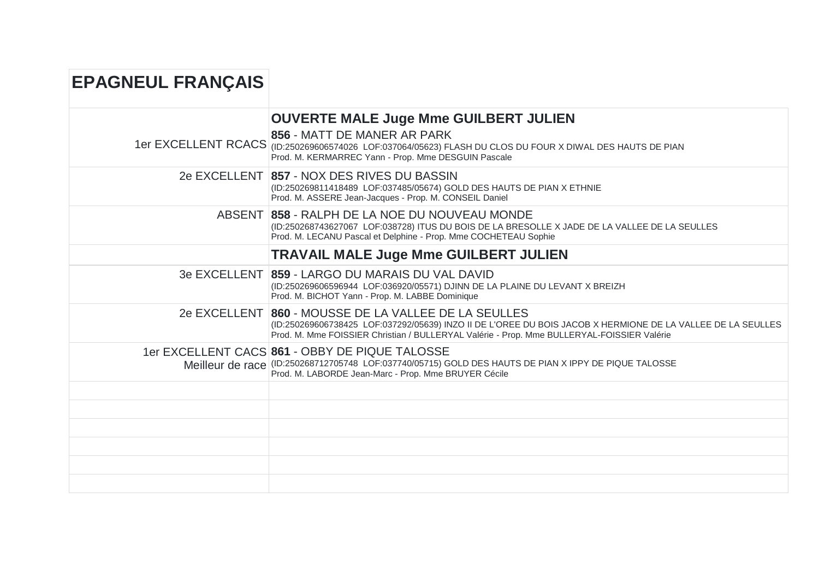| <b>EPAGNEUL FRANÇAIS</b> |                                                                                                                                                                                                                                                                   |
|--------------------------|-------------------------------------------------------------------------------------------------------------------------------------------------------------------------------------------------------------------------------------------------------------------|
|                          | <b>OUVERTE MALE Juge Mme GUILBERT JULIEN</b>                                                                                                                                                                                                                      |
|                          | 856 - MATT DE MANER AR PARK<br>1er EXCELLENT RCACS (ID:250269606574026 LOF:037064/05623) FLASH DU CLOS DU FOUR X DIWAL DES HAUTS DE PIAN<br>Prod. M. KERMARREC Yann - Prop. Mme DESGUIN Pascale                                                                   |
|                          | 2e EXCELLENT 857 - NOX DES RIVES DU BASSIN<br>(ID:250269811418489 LOF:037485/05674) GOLD DES HAUTS DE PIAN X ETHNIE<br>Prod. M. ASSERE Jean-Jacques - Prop. M. CONSEIL Daniel                                                                                     |
|                          | ABSENT 858 - RALPH DE LA NOE DU NOUVEAU MONDE<br>(ID:250268743627067 LOF:038728) ITUS DU BOIS DE LA BRESOLLE X JADE DE LA VALLEE DE LA SEULLES<br>Prod. M. LECANU Pascal et Delphine - Prop. Mme COCHETEAU Sophie                                                 |
|                          | <b>TRAVAIL MALE Juge Mme GUILBERT JULIEN</b>                                                                                                                                                                                                                      |
|                          | 3e EXCELLENT 859 - LARGO DU MARAIS DU VAL DAVID<br>(ID:250269606596944 LOF:036920/05571) DJINN DE LA PLAINE DU LEVANT X BREIZH<br>Prod. M. BICHOT Yann - Prop. M. LABBE Dominique                                                                                 |
|                          | 2e EXCELLENT 860 - MOUSSE DE LA VALLEE DE LA SEULLES<br>(ID:250269606738425 LOF:037292/05639) INZO II DE L'OREE DU BOIS JACOB X HERMIONE DE LA VALLEE DE LA SEULLES<br>Prod. M. Mme FOISSIER Christian / BULLERYAL Valérie - Prop. Mme BULLERYAL-FOISSIER Valérie |
|                          | 1er EXCELLENT CACS 861 - OBBY DE PIQUE TALOSSE<br>Meilleur de race (ID:250268712705748 LOF:037740/05715) GOLD DES HAUTS DE PIAN X IPPY DE PIQUE TALOSSE<br>Prod. M. LABORDE Jean-Marc - Prop. Mme BRUYER Cécile                                                   |
|                          |                                                                                                                                                                                                                                                                   |
|                          |                                                                                                                                                                                                                                                                   |
|                          |                                                                                                                                                                                                                                                                   |
|                          |                                                                                                                                                                                                                                                                   |
|                          |                                                                                                                                                                                                                                                                   |
|                          |                                                                                                                                                                                                                                                                   |